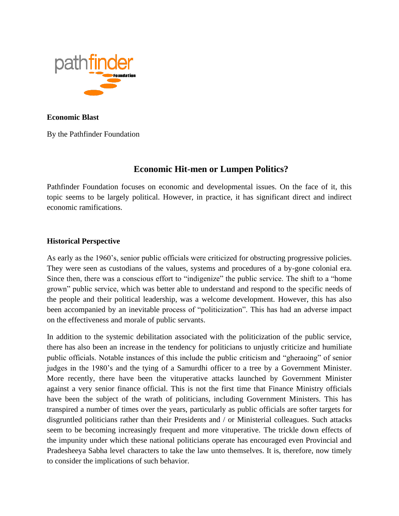

**Economic Blast** 

By the Pathfinder Foundation

## **Economic Hit-men or Lumpen Politics?**

Pathfinder Foundation focuses on economic and developmental issues. On the face of it, this topic seems to be largely political. However, in practice, it has significant direct and indirect economic ramifications.

## **Historical Perspective**

As early as the 1960's, senior public officials were criticized for obstructing progressive policies. They were seen as custodians of the values, systems and procedures of a by-gone colonial era. Since then, there was a conscious effort to "indigenize" the public service. The shift to a "home grown" public service, which was better able to understand and respond to the specific needs of the people and their political leadership, was a welcome development. However, this has also been accompanied by an inevitable process of "politicization". This has had an adverse impact on the effectiveness and morale of public servants.

In addition to the systemic debilitation associated with the politicization of the public service, there has also been an increase in the tendency for politicians to unjustly criticize and humiliate public officials. Notable instances of this include the public criticism and "gheraoing" of senior judges in the 1980's and the tying of a Samurdhi officer to a tree by a Government Minister. More recently, there have been the vituperative attacks launched by Government Minister against a very senior finance official. This is not the first time that Finance Ministry officials have been the subject of the wrath of politicians, including Government Ministers. This has transpired a number of times over the years, particularly as public officials are softer targets for disgruntled politicians rather than their Presidents and / or Ministerial colleagues. Such attacks seem to be becoming increasingly frequent and more vituperative. The trickle down effects of the impunity under which these national politicians operate has encouraged even Provincial and Pradesheeya Sabha level characters to take the law unto themselves. It is, therefore, now timely to consider the implications of such behavior.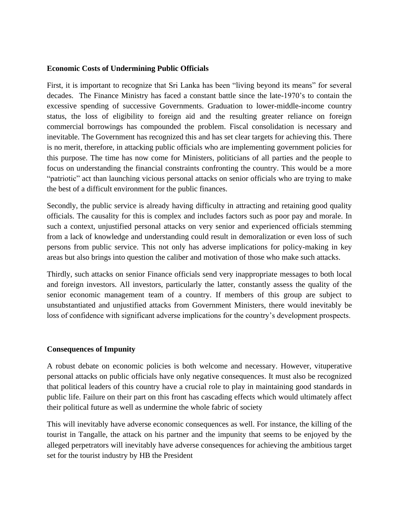## **Economic Costs of Undermining Public Officials**

First, it is important to recognize that Sri Lanka has been "living beyond its means" for several decades. The Finance Ministry has faced a constant battle since the late-1970's to contain the excessive spending of successive Governments. Graduation to lower-middle-income country status, the loss of eligibility to foreign aid and the resulting greater reliance on foreign commercial borrowings has compounded the problem. Fiscal consolidation is necessary and inevitable. The Government has recognized this and has set clear targets for achieving this. There is no merit, therefore, in attacking public officials who are implementing government policies for this purpose. The time has now come for Ministers, politicians of all parties and the people to focus on understanding the financial constraints confronting the country. This would be a more "patriotic" act than launching vicious personal attacks on senior officials who are trying to make the best of a difficult environment for the public finances.

Secondly, the public service is already having difficulty in attracting and retaining good quality officials. The causality for this is complex and includes factors such as poor pay and morale. In such a context, unjustified personal attacks on very senior and experienced officials stemming from a lack of knowledge and understanding could result in demoralization or even loss of such persons from public service. This not only has adverse implications for policy-making in key areas but also brings into question the caliber and motivation of those who make such attacks.

Thirdly, such attacks on senior Finance officials send very inappropriate messages to both local and foreign investors. All investors, particularly the latter, constantly assess the quality of the senior economic management team of a country. If members of this group are subject to unsubstantiated and unjustified attacks from Government Ministers, there would inevitably be loss of confidence with significant adverse implications for the country's development prospects.

## **Consequences of Impunity**

A robust debate on economic policies is both welcome and necessary. However, vituperative personal attacks on public officials have only negative consequences. It must also be recognized that political leaders of this country have a crucial role to play in maintaining good standards in public life. Failure on their part on this front has cascading effects which would ultimately affect their political future as well as undermine the whole fabric of society

This will inevitably have adverse economic consequences as well. For instance, the killing of the tourist in Tangalle, the attack on his partner and the impunity that seems to be enjoyed by the alleged perpetrators will inevitably have adverse consequences for achieving the ambitious target set for the tourist industry by HB the President